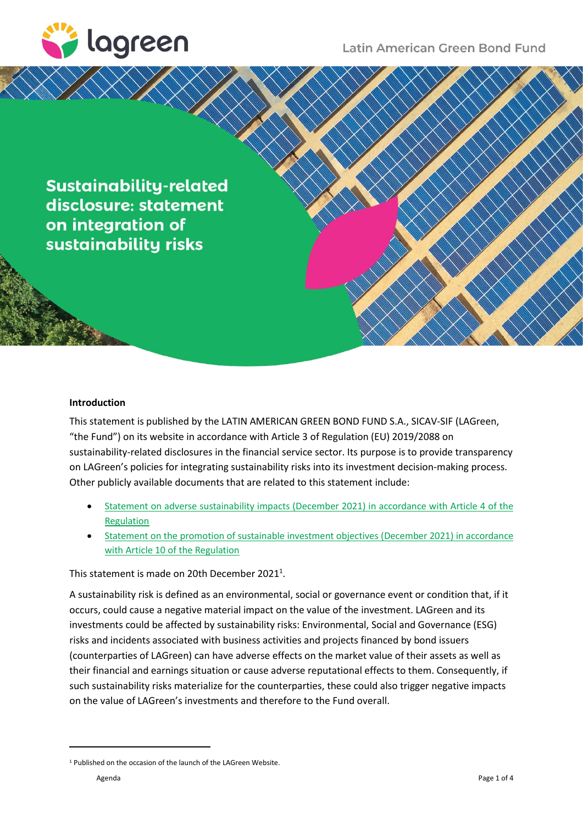

Latin American Green Bond Fund

**Sustainability-related** disclosure: statement on integration of sustainability risks

## **Introduction**

This statement is published by the LATIN AMERICAN GREEN BOND FUND S.A., SICAV-SIF (LAGreen, "the Fund") on its website in accordance with Article 3 of Regulation (EU) 2019/2088 on sustainability-related disclosures in the financial service sector. Its purpose is to provide transparency on LAGreen's policies for integrating sustainability risks into its investment decision-making process. Other publicly available documents that are related to this statement include:

- [Statement on adverse sustainability impacts \(December](https://lagreen.lu/wp-content/uploads/2021/12/LAGreen_SFDR_PAI_Dec-2021-1.pdf) 2021) in accordance with Article 4 of the [Regulation](https://lagreen.lu/wp-content/uploads/2021/12/LAGreen_SFDR_PAI_Dec-2021-1.pdf)
- [Statement on the promotion of sustainable investment objectives \(December 2021\) in accordance](https://lagreen.lu/wp-content/uploads/2021/12/LAGreen_SFDR_SIO_Dec-2021-1.pdf)  [with Article 10 of the Regulation](https://lagreen.lu/wp-content/uploads/2021/12/LAGreen_SFDR_SIO_Dec-2021-1.pdf)

This statement is made on 20th December 2021<sup>1</sup>.

A sustainability risk is defined as an environmental, social or governance event or condition that, if it occurs, could cause a negative material impact on the value of the investment. LAGreen and its investments could be affected by sustainability risks: Environmental, Social and Governance (ESG) risks and incidents associated with business activities and projects financed by bond issuers (counterparties of LAGreen) can have adverse effects on the market value of their assets as well as their financial and earnings situation or cause adverse reputational effects to them. Consequently, if such sustainability risks materialize for the counterparties, these could also trigger negative impacts on the value of LAGreen's investments and therefore to the Fund overall.

<sup>&</sup>lt;sup>1</sup> Published on the occasion of the launch of the LAGreen Website.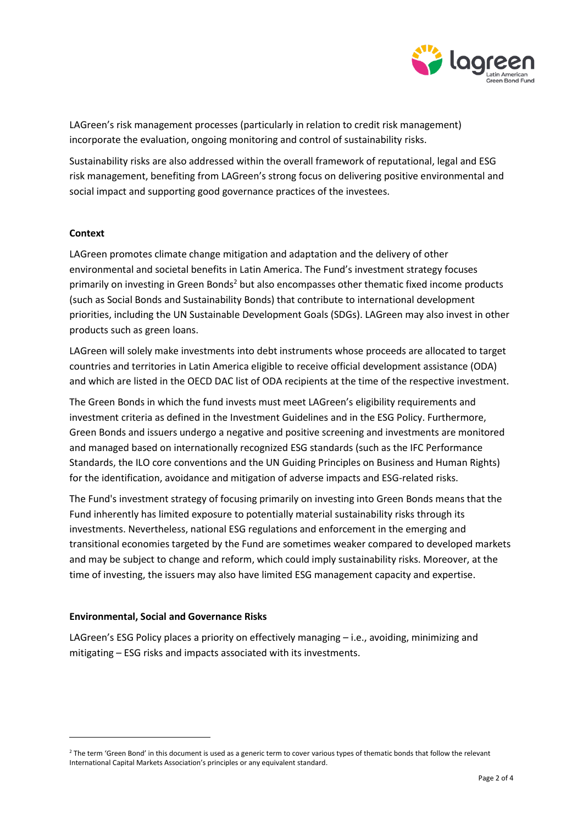

LAGreen's risk management processes (particularly in relation to credit risk management) incorporate the evaluation, ongoing monitoring and control of sustainability risks.

Sustainability risks are also addressed within the overall framework of reputational, legal and ESG risk management, benefiting from LAGreen's strong focus on delivering positive environmental and social impact and supporting good governance practices of the investees.

## **Context**

LAGreen promotes climate change mitigation and adaptation and the delivery of other environmental and societal benefits in Latin America. The Fund's investment strategy focuses primarily on investing in Green Bonds<sup>2</sup> but also encompasses other thematic fixed income products (such as Social Bonds and Sustainability Bonds) that contribute to international development priorities, including the UN Sustainable Development Goals (SDGs). LAGreen may also invest in other products such as green loans.

LAGreen will solely make investments into debt instruments whose proceeds are allocated to target countries and territories in Latin America eligible to receive official development assistance (ODA) and which are listed in the OECD DAC list of ODA recipients at the time of the respective investment.

The Green Bonds in which the fund invests must meet LAGreen's eligibility requirements and investment criteria as defined in the Investment Guidelines and in the ESG Policy. Furthermore, Green Bonds and issuers undergo a negative and positive screening and investments are monitored and managed based on internationally recognized ESG standards (such as the IFC Performance Standards, the ILO core conventions and the UN Guiding Principles on Business and Human Rights) for the identification, avoidance and mitigation of adverse impacts and ESG-related risks.

The Fund's investment strategy of focusing primarily on investing into Green Bonds means that the Fund inherently has limited exposure to potentially material sustainability risks through its investments. Nevertheless, national ESG regulations and enforcement in the emerging and transitional economies targeted by the Fund are sometimes weaker compared to developed markets and may be subject to change and reform, which could imply sustainability risks. Moreover, at the time of investing, the issuers may also have limited ESG management capacity and expertise.

## **Environmental, Social and Governance Risks**

LAGreen's ESG Policy places a priority on effectively managing – i.e., avoiding, minimizing and mitigating – ESG risks and impacts associated with its investments.

<sup>&</sup>lt;sup>2</sup> The term 'Green Bond' in this document is used as a generic term to cover various types of thematic bonds that follow the relevant International Capital Markets Association's principles or any equivalent standard.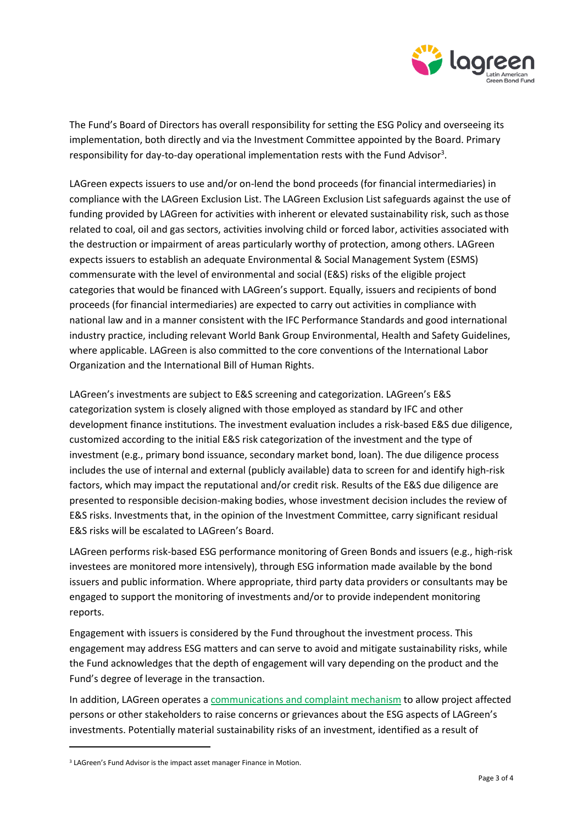

The Fund's Board of Directors has overall responsibility for setting the ESG Policy and overseeing its implementation, both directly and via the Investment Committee appointed by the Board. Primary responsibility for day-to-day operational implementation rests with the Fund Advisor<sup>3</sup>.

LAGreen expects issuers to use and/or on-lend the bond proceeds (for financial intermediaries) in compliance with the LAGreen Exclusion List. The LAGreen Exclusion List safeguards against the use of funding provided by LAGreen for activities with inherent or elevated sustainability risk, such asthose related to coal, oil and gas sectors, activities involving child or forced labor, activities associated with the destruction or impairment of areas particularly worthy of protection, among others. LAGreen expects issuers to establish an adequate Environmental & Social Management System (ESMS) commensurate with the level of environmental and social (E&S) risks of the eligible project categories that would be financed with LAGreen's support. Equally, issuers and recipients of bond proceeds (for financial intermediaries) are expected to carry out activities in compliance with national law and in a manner consistent with the IFC Performance Standards and good international industry practice, including relevant World Bank Group Environmental, Health and Safety Guidelines, where applicable. LAGreen is also committed to the core conventions of the International Labor Organization and the International Bill of Human Rights.

LAGreen's investments are subject to E&S screening and categorization. LAGreen's E&S categorization system is closely aligned with those employed as standard by IFC and other development finance institutions. The investment evaluation includes a risk-based E&S due diligence, customized according to the initial E&S risk categorization of the investment and the type of investment (e.g., primary bond issuance, secondary market bond, loan). The due diligence process includes the use of internal and external (publicly available) data to screen for and identify high-risk factors, which may impact the reputational and/or credit risk. Results of the E&S due diligence are presented to responsible decision-making bodies, whose investment decision includes the review of E&S risks. Investments that, in the opinion of the Investment Committee, carry significant residual E&S risks will be escalated to LAGreen's Board.

LAGreen performs risk-based ESG performance monitoring of Green Bonds and issuers (e.g., high-risk investees are monitored more intensively), through ESG information made available by the bond issuers and public information. Where appropriate, third party data providers or consultants may be engaged to support the monitoring of investments and/or to provide independent monitoring reports.

Engagement with issuers is considered by the Fund throughout the investment process. This engagement may address ESG matters and can serve to avoid and mitigate sustainability risks, while the Fund acknowledges that the depth of engagement will vary depending on the product and the Fund's degree of leverage in the transaction.

In addition, LAGreen operates a [communications and complaint mechanism](https://lagreen.lu/complaints/) to allow project affected persons or other stakeholders to raise concerns or grievances about the ESG aspects of LAGreen's investments. Potentially material sustainability risks of an investment, identified as a result of

<sup>&</sup>lt;sup>3</sup> LAGreen's Fund Advisor is the impact asset manager Finance in Motion.